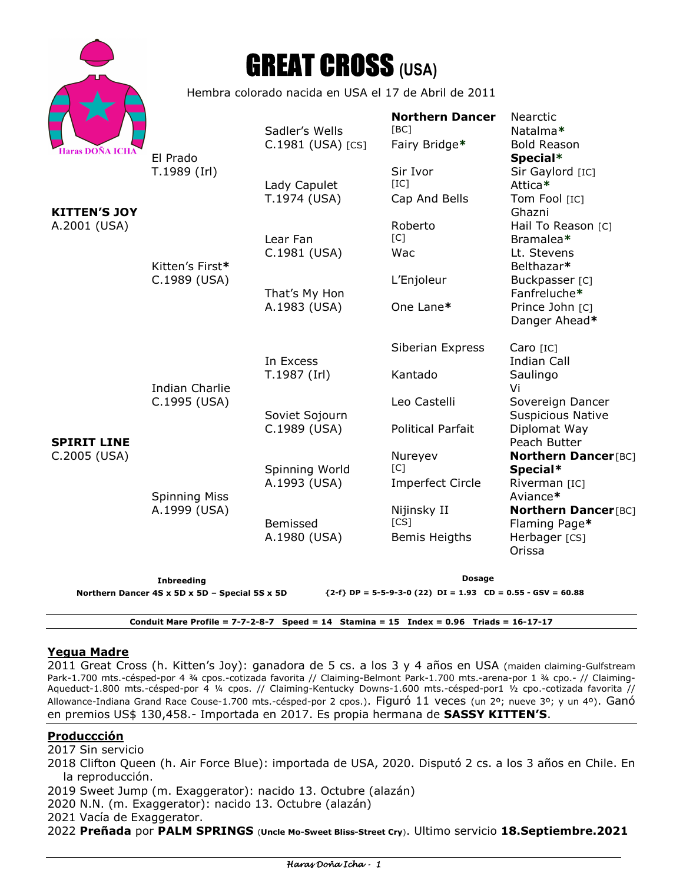| Haras DOÑA ICHA |
|-----------------|

# GREAT CROSS **(USA)**

Hembra colorado nacida en USA el 17 de Abril de 2011

|                                                                                                                 |                                                                               | Sadler's Wells    | <b>Northern Dancer</b><br>[BC]    | <b>Nearctic</b><br>Natalma*                  |  |
|-----------------------------------------------------------------------------------------------------------------|-------------------------------------------------------------------------------|-------------------|-----------------------------------|----------------------------------------------|--|
| Haras DOÑA ICHA<br><b>KITTEN'S JOY</b>                                                                          | El Prado<br>T.1989 (Irl)                                                      | C.1981 (USA) [CS] | Fairy Bridge*                     | <b>Bold Reason</b><br>Special*               |  |
|                                                                                                                 |                                                                               | Lady Capulet      | Sir Ivor<br>[IC]                  | Sir Gaylord [IC]<br>Attica*                  |  |
|                                                                                                                 |                                                                               | T.1974 (USA)      | Cap And Bells                     | Tom Fool [IC]<br>Ghazni                      |  |
| A.2001 (USA)                                                                                                    | Kitten's First*<br>C.1989 (USA)                                               | Lear Fan          | Roberto<br>[C]                    | Hail To Reason [C]<br>Bramalea*              |  |
|                                                                                                                 |                                                                               | C.1981 (USA)      | Wac                               | Lt. Stevens<br>Belthazar*                    |  |
|                                                                                                                 |                                                                               | That's My Hon     | L'Enjoleur                        | Buckpasser [C]<br>Fanfreluche*               |  |
| <b>SPIRIT LINE</b><br>C.2005 (USA)                                                                              | <b>Indian Charlie</b><br>C.1995 (USA)<br><b>Spinning Miss</b><br>A.1999 (USA) | A.1983 (USA)      | One Lane*                         | Prince John [C]<br>Danger Ahead*             |  |
|                                                                                                                 |                                                                               | In Excess         | Siberian Express                  | Caro [IC]<br><b>Indian Call</b>              |  |
|                                                                                                                 |                                                                               | T.1987 (Irl)      | Kantado                           | Saulingo<br>Vi                               |  |
|                                                                                                                 |                                                                               | Soviet Sojourn    | Leo Castelli                      | Sovereign Dancer<br><b>Suspicious Native</b> |  |
|                                                                                                                 |                                                                               | C.1989 (USA)      | <b>Political Parfait</b>          | Diplomat Way<br>Peach Butter                 |  |
|                                                                                                                 |                                                                               | Spinning World    | Nureyev<br>$\lceil C \rceil$      | <b>Northern Dancer[BC]</b><br>Special*       |  |
|                                                                                                                 |                                                                               | A.1993 (USA)      | <b>Imperfect Circle</b>           | Riverman [IC]<br>Aviance*                    |  |
|                                                                                                                 |                                                                               | Bemissed          | Nijinsky II<br>$\lceil CS \rceil$ | <b>Northern Dancer[BC]</b><br>Flaming Page*  |  |
|                                                                                                                 |                                                                               | A.1980 (USA)      | <b>Bemis Heigths</b>              | Herbager [CS]<br>Orissa                      |  |
| <b>Inbreeding</b>                                                                                               |                                                                               |                   | Dosage                            |                                              |  |
| Northern Dancer 4S x 5D x 5D - Special 5S x 5D<br>${2-f}$ DP = 5-5-9-3-0 (22) DI = 1.93 CD = 0.55 - GSV = 60.88 |                                                                               |                   |                                   |                                              |  |

**Conduit Mare Profile = 7-7-2-8-7 Speed = 14 Stamina = 15 Index = 0.96 Triads = 16-17-17** 

#### **Yegua Madre**

2011 Great Cross (h. Kitten's Joy): ganadora de 5 cs. a los 3 y 4 años en USA (maiden claiming-Gulfstream Park-1.700 mts.-césped-por 4 ¾ cpos.-cotizada favorita // Claiming-Belmont Park-1.700 mts.-arena-por 1 ¾ cpo.- // Claiming-Aqueduct-1.800 mts.-césped-por 4 ¼ cpos. // Claiming-Kentucky Downs-1.600 mts.-césped-por1 ½ cpo.-cotizada favorita // Allowance-Indiana Grand Race Couse-1.700 mts.-césped-por 2 cpos.). Figuró 11 veces (un 2º; nueve 3º; y un 4º). Ganó en premios US\$ 130,458.- Importada en 2017. Es propia hermana de **SASSY KITTEN'S**.

#### **Produccción**

#### 2017 Sin servicio

- 2018 Clifton Queen (h. Air Force Blue): importada de USA, 2020. Disputó 2 cs. a los 3 años en Chile. En la reproducción.
- 2019 Sweet Jump (m. Exaggerator): nacido 13. Octubre (alazán)
- 2020 N.N. (m. Exaggerator): nacido 13. Octubre (alazán)
- 2021 Vacía de Exaggerator.
- 2022 **Preñada** por **PALM SPRINGS** (**Uncle Mo-Sweet Bliss-Street Cry**). Ultimo servicio **18.Septiembre.2021**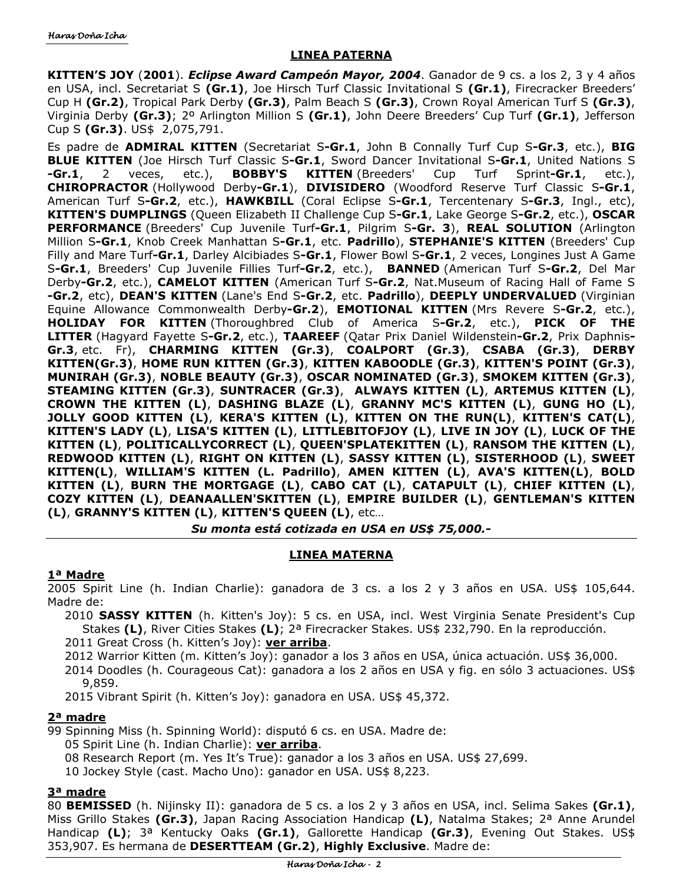## **LINEA PATERNA**

**KITTEN'S JOY** (**2001**). *Eclipse Award Campeón Mayor, 2004*. Ganador de 9 cs. a los 2, 3 y 4 años en USA, incl. Secretariat S **(Gr.1)**, Joe Hirsch Turf Classic Invitational S **(Gr.1)**, Firecracker Breeders' Cup H **(Gr.2)**, Tropical Park Derby **(Gr.3)**, Palm Beach S **(Gr.3)**, Crown Royal American Turf S **(Gr.3)**, Virginia Derby **(Gr.3)**; 2º Arlington Million S **(Gr.1)**, John Deere Breeders' Cup Turf **(Gr.1)**, Jefferson Cup S **(Gr.3)**. US\$ 2,075,791.

Es padre de **ADMIRAL KITTEN** (Secretariat S**-Gr.1**, John B Connally Turf Cup S**-Gr.3**, etc.), **BIG BLUE KITTEN** (Joe Hirsch Turf Classic S**-Gr.1**, Sword Dancer Invitational S**-Gr.1**, United Nations S **-Gr.1**, 2 veces, etc.), **BOBBY'S KITTEN** (Breeders' Cup Turf Sprint**-Gr.1**, etc.), **CHIROPRACTOR** (Hollywood Derby**-Gr.1**), **DIVISIDERO** (Woodford Reserve Turf Classic S**-Gr.1**, American Turf S**-Gr.2**, etc.), **HAWKBILL** (Coral Eclipse S**-Gr.1**, Tercentenary S**-Gr.3**, Ingl., etc), **KITTEN'S DUMPLINGS** (Queen Elizabeth II Challenge Cup S**-Gr.1**, Lake George S**-Gr.2**, etc.), **OSCAR PERFORMANCE** (Breeders' Cup Juvenile Turf**-Gr.1**, Pilgrim S**-Gr. 3**), **REAL SOLUTION** (Arlington Million S**-Gr.1**, Knob Creek Manhattan S**-Gr.1**, etc. **Padrillo**), **STEPHANIE'S KITTEN** (Breeders' Cup Filly and Mare Turf**-Gr.1**, Darley Alcibiades S**-Gr.1**, Flower Bowl S**-Gr.1**, 2 veces, Longines Just A Game S**-Gr.1**, Breeders' Cup Juvenile Fillies Turf**-Gr.2**, etc.), **BANNED** (American Turf S**-Gr.2**, Del Mar Derby**-Gr.2**, etc.), **CAMELOT KITTEN** (American Turf S**-Gr.2**, Nat.Museum of Racing Hall of Fame S **-Gr.2**, etc), **DEAN'S KITTEN** (Lane's End S**-Gr.2**, etc. **Padrillo**), **DEEPLY UNDERVALUED** (Virginian Equine Allowance Commonwealth Derby**-Gr.2**), **EMOTIONAL KITTEN** (Mrs Revere S**-Gr.2**, etc.), **HOLIDAY FOR KITTEN** (Thoroughbred Club of America S**-Gr.2**, etc.), **PICK OF THE LITTER** (Hagyard Fayette S**-Gr.2**, etc.), **TAAREEF** (Qatar Prix Daniel Wildenstein**-Gr.2**, Prix Daphnis**-Gr.3**, etc. Fr), **CHARMING KITTEN (Gr.3)**, **COALPORT (Gr.3)**, **CSABA (Gr.3)**, **DERBY KITTEN(Gr.3)**, **HOME RUN KITTEN (Gr.3)**, **KITTEN KABOODLE (Gr.3)**, **KITTEN'S POINT (Gr.3)**, **MUNIRAH (Gr.3)**, **NOBLE BEAUTY (Gr.3)**, **OSCAR NOMINATED (Gr.3)**, **SMOKEM KITTEN (Gr.3)**, **STEAMING KITTEN (Gr.3)**, **SUNTRACER (Gr.3)**, **ALWAYS KITTEN (L)**, **ARTEMUS KITTEN (L)**, **CROWN THE KITTEN (L)**, **DASHING BLAZE (L)**, **GRANNY MC'S KITTEN (L)**, **GUNG HO (L)**, **JOLLY GOOD KITTEN (L)**, **KERA'S KITTEN (L)**, **KITTEN ON THE RUN(L)**, **KITTEN'S CAT(L)**, **KITTEN'S LADY (L)**, **LISA'S KITTEN (L)**, **LITTLEBITOFJOY (L)**, **LIVE IN JOY (L)**, **LUCK OF THE KITTEN (L)**, **POLITICALLYCORRECT (L)**, **QUEEN'SPLATEKITTEN (L)**, **RANSOM THE KITTEN (L)**, **REDWOOD KITTEN (L)**, **RIGHT ON KITTEN (L)**, **SASSY KITTEN (L)**, **SISTERHOOD (L)**, **SWEET KITTEN(L)**, **WILLIAM'S KITTEN (L. Padrillo)**, **AMEN KITTEN (L)**, **AVA'S KITTEN(L)**, **BOLD KITTEN (L)**, **BURN THE MORTGAGE (L)**, **CABO CAT (L)**, **CATAPULT (L)**, **CHIEF KITTEN (L)**, **COZY KITTEN (L)**, **DEANAALLEN'SKITTEN (L)**, **EMPIRE BUILDER (L)**, **GENTLEMAN'S KITTEN (L)**, **GRANNY'S KITTEN (L)**, **KITTEN'S QUEEN (L)**, etc…

*Su monta está cotizada en USA en US\$ 75,000.-* 

## **LINEA MATERNA**

## **1ª Madre**

2005 Spirit Line (h. Indian Charlie): ganadora de 3 cs. a los 2 y 3 años en USA. US\$ 105,644. Madre de:

2010 **SASSY KITTEN** (h. Kitten's Joy): 5 cs. en USA, incl. West Virginia Senate President's Cup Stakes **(L)**, River Cities Stakes **(L)**; 2ª Firecracker Stakes. US\$ 232,790. En la reproducción.

2011 Great Cross (h. Kitten's Joy): **ver arriba**.

- 2012 Warrior Kitten (m. Kitten's Joy): ganador a los 3 años en USA, única actuación. US\$ 36,000.
- 2014 Doodles (h. Courageous Cat): ganadora a los 2 años en USA y fig. en sólo 3 actuaciones. US\$ 9,859.

2015 Vibrant Spirit (h. Kitten's Joy): ganadora en USA. US\$ 45,372.

## **2ª madre**

- 99 Spinning Miss (h. Spinning World): disputó 6 cs. en USA. Madre de:
	- 05 Spirit Line (h. Indian Charlie): **ver arriba**.
	- 08 Research Report (m. Yes It's True): ganador a los 3 años en USA. US\$ 27,699.
	- 10 Jockey Style (cast. Macho Uno): ganador en USA. US\$ 8,223.

# **3ª madre**

80 **BEMISSED** (h. Nijinsky II): ganadora de 5 cs. a los 2 y 3 años en USA, incl. Selima Sakes **(Gr.1)**, Miss Grillo Stakes **(Gr.3)**, Japan Racing Association Handicap **(L)**, Natalma Stakes; 2ª Anne Arundel Handicap **(L)**; 3ª Kentucky Oaks **(Gr.1)**, Gallorette Handicap **(Gr.3)**, Evening Out Stakes. US\$ 353,907. Es hermana de **DESERTTEAM (Gr.2)**, **Highly Exclusive**. Madre de: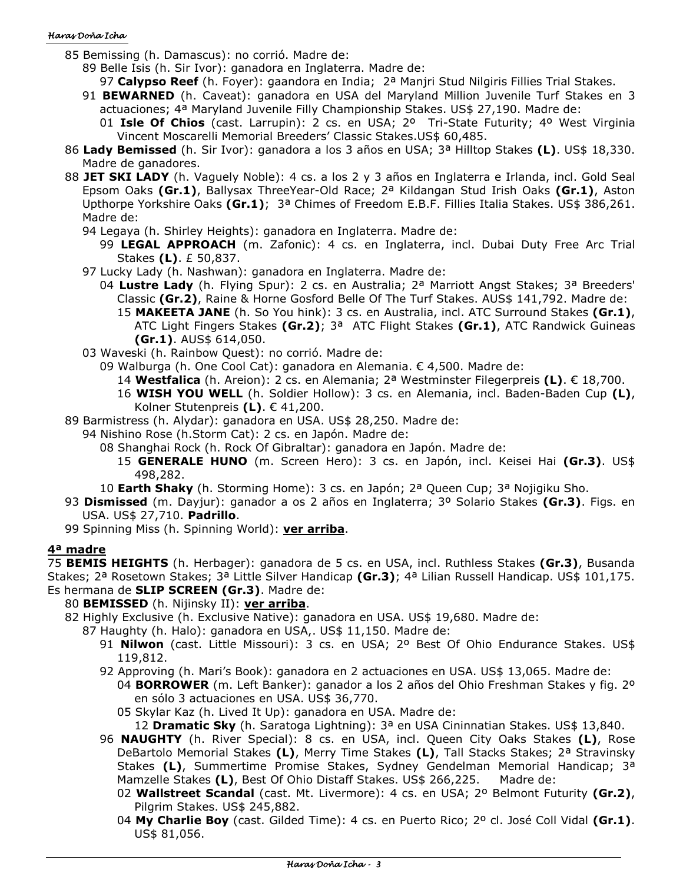#### Haras Doña Icha

- 85 Bemissing (h. Damascus): no corrió. Madre de:
	- 89 Belle Isis (h. Sir Ivor): ganadora en Inglaterra. Madre de:
	- 97 **Calypso Reef** (h. Foyer): gaandora en India; 2ª Manjri Stud Nilgiris Fillies Trial Stakes.
	- 91 **BEWARNED** (h. Caveat): ganadora en USA del Maryland Million Juvenile Turf Stakes en 3 actuaciones; 4ª Maryland Juvenile Filly Championship Stakes. US\$ 27,190. Madre de:
		- 01 **Isle Of Chios** (cast. Larrupin): 2 cs. en USA; 2º Tri-State Futurity; 4º West Virginia Vincent Moscarelli Memorial Breeders' Classic Stakes.US\$ 60,485.
- 86 **Lady Bemissed** (h. Sir Ivor): ganadora a los 3 años en USA; 3ª Hilltop Stakes **(L)**. US\$ 18,330. Madre de ganadores.
- 88 **JET SKI LADY** (h. Vaguely Noble): 4 cs. a los 2 y 3 años en Inglaterra e Irlanda, incl. Gold Seal Epsom Oaks **(Gr.1)**, Ballysax ThreeYear-Old Race; 2ª Kildangan Stud Irish Oaks **(Gr.1)**, Aston Upthorpe Yorkshire Oaks **(Gr.1)**; 3ª Chimes of Freedom E.B.F. Fillies Italia Stakes. US\$ 386,261. Madre de:
	- 94 Legaya (h. Shirley Heights): ganadora en Inglaterra. Madre de:
		- 99 **LEGAL APPROACH** (m. Zafonic): 4 cs. en Inglaterra, incl. Dubai Duty Free Arc Trial Stakes **(L)**. £ 50,837.
	- 97 Lucky Lady (h. Nashwan): ganadora en Inglaterra. Madre de:
		- 04 **Lustre Lady** (h. Flying Spur): 2 cs. en Australia; 2ª Marriott Angst Stakes; 3ª Breeders' Classic **(Gr.2)**, Raine & Horne Gosford Belle Of The Turf Stakes. AUS\$ 141,792. Madre de: 15 **MAKEETA JANE** (h. So You hink): 3 cs. en Australia, incl. ATC Surround Stakes **(Gr.1)**, ATC Light Fingers Stakes **(Gr.2)**; 3ª ATC Flight Stakes **(Gr.1)**, ATC Randwick Guineas **(Gr.1)**. AUS\$ 614,050.
	- 03 Waveski (h. Rainbow Quest): no corrió. Madre de:
		- 09 Walburga (h. One Cool Cat): ganadora en Alemania. € 4,500. Madre de:
			- 14 **Westfalica** (h. Areion): 2 cs. en Alemania; 2ª Westminster Filegerpreis **(L)**. € 18,700.
			- 16 **WISH YOU WELL** (h. Soldier Hollow): 3 cs. en Alemania, incl. Baden-Baden Cup **(L)**, Kolner Stutenpreis **(L)**. € 41,200.
- 89 Barmistress (h. Alydar): ganadora en USA. US\$ 28,250. Madre de:
	- 94 Nishino Rose (h.Storm Cat): 2 cs. en Japón. Madre de:
		- 08 Shanghai Rock (h. Rock Of Gibraltar): ganadora en Japón. Madre de:
			- 15 **GENERALE HUNO** (m. Screen Hero): 3 cs. en Japón, incl. Keisei Hai **(Gr.3)**. US\$ 498,282.
		- 10 **Earth Shaky** (h. Storming Home): 3 cs. en Japón; 2ª Queen Cup; 3ª Nojigiku Sho.
- 93 **Dismissed** (m. Dayjur): ganador a os 2 años en Inglaterra; 3º Solario Stakes **(Gr.3)**. Figs. en USA. US\$ 27,710. **Padrillo**.
- 99 Spinning Miss (h. Spinning World): **ver arriba**.

## **4ª madre**

75 **BEMIS HEIGHTS** (h. Herbager): ganadora de 5 cs. en USA, incl. Ruthless Stakes **(Gr.3)**, Busanda Stakes; 2ª Rosetown Stakes; 3ª Little Silver Handicap **(Gr.3)**; 4ª Lilian Russell Handicap. US\$ 101,175. Es hermana de **SLIP SCREEN (Gr.3)**. Madre de:

## 80 **BEMISSED** (h. Nijinsky II): **ver arriba**.

- 82 Highly Exclusive (h. Exclusive Native): ganadora en USA. US\$ 19,680. Madre de:
	- 87 Haughty (h. Halo): ganadora en USA,. US\$ 11,150. Madre de:
		- 91 **Nilwon** (cast. Little Missouri): 3 cs. en USA; 2º Best Of Ohio Endurance Stakes. US\$ 119,812.
		- 92 Approving (h. Mari's Book): ganadora en 2 actuaciones en USA. US\$ 13,065. Madre de:
			- 04 **BORROWER** (m. Left Banker): ganador a los 2 años del Ohio Freshman Stakes y fig. 2º en sólo 3 actuaciones en USA. US\$ 36,770.
			- 05 Skylar Kaz (h. Lived It Up): ganadora en USA. Madre de:
				- 12 **Dramatic Sky** (h. Saratoga Lightning): 3ª en USA Cininnatian Stakes. US\$ 13,840.
		- 96 **NAUGHTY** (h. River Special): 8 cs. en USA, incl. Queen City Oaks Stakes **(L)**, Rose DeBartolo Memorial Stakes **(L)**, Merry Time Stakes **(L)**, Tall Stacks Stakes; 2ª Stravinsky Stakes **(L)**, Summertime Promise Stakes, Sydney Gendelman Memorial Handicap; 3ª Mamzelle Stakes **(L)**, Best Of Ohio Distaff Stakes. US\$ 266,225. Madre de:
			- 02 **Wallstreet Scandal** (cast. Mt. Livermore): 4 cs. en USA; 2º Belmont Futurity **(Gr.2)**, Pilgrim Stakes. US\$ 245,882.
			- 04 **My Charlie Boy** (cast. Gilded Time): 4 cs. en Puerto Rico; 2º cl. José Coll Vidal **(Gr.1)**. US\$ 81,056.